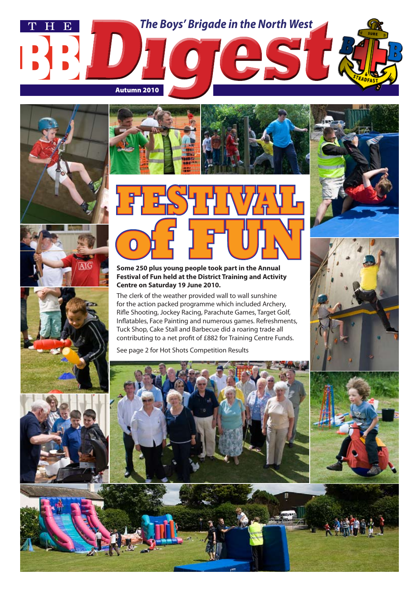













#### **Some 250 plus young people took part in the Annual Festival of Fun held at the District Training and Activity Centre on Saturday 19 June 2010.**

The clerk of the weather provided wall to wall sunshine for the action packed programme which included Archery, Rifle Shooting, Jockey Racing, Parachute Games, Target Golf, Inflatables, Face Painting and numerous games. Refreshments, Tuck Shop, Cake Stall and Barbecue did a roaring trade all contributing to a net profit of £882 for Training Centre Funds.

See page 2 for Hot Shots Competition Results







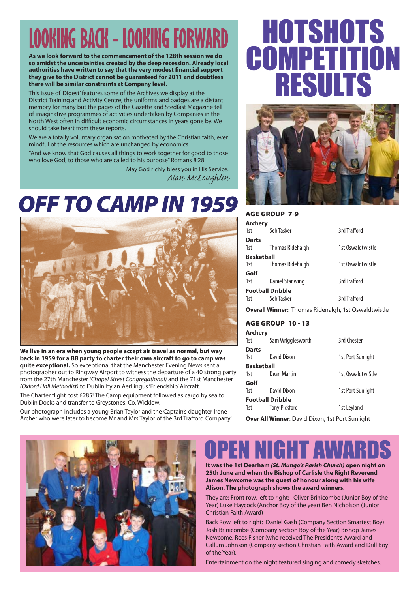# **LOOKING BACK - LOOKING FORWARD**

**As we look forward to the commencement of the 128th session we do so amidst the uncertainties created by the deep recession. Already local authorities have written to say that the very modest financial support they give to the District cannot be guaranteed for 2011 and doubtless there will be similar constraints at Company level.**

This issue of 'Digest' features some of the Archives we display at the District Training and Activity Centre, the uniforms and badges are a distant memory for many but the pages of the Gazette and Stedfast Magazine tell of imaginative programmes of activities undertaken by Companies in the North West often in difficult economic circumstances in years gone by. We should take heart from these reports.

We are a totally voluntary organisation motivated by the Christian faith, ever mindful of the resources which are unchanged by economics.

"And we know that God causes all things to work together for good to those who love God, to those who are called to his purpose" Romans 8:28

> May God richly bless you in His Service. *Alan McLoughlin*

## OFF TO CAMP IN 1959



**We live in an era when young people accept air travel as normal, but way back in 1959 for a BB party to charter their own aircraft to go to camp was quite exceptional.** So exceptional that the Manchester Evening News sent a photographer out to Ringway Airport to witness the departure of a 40 strong party from the 27th Manchester *(Chapel Street Congregational)* and the 71st Manchester *(Oxford Hall Methodist)* to Dublin by an AerLingus 'Friendship' Aircraft.

The Charter flight cost £285! The Camp equipment followed as cargo by sea to Dublin Docks and transfer to Greystones, Co. Wicklow.

Our photograph includes a young Brian Taylor and the Captain's daughter Irene Archer who were later to become Mr and Mrs Taylor of the 3rd Trafford Company!

# HOTSHOTS OMP RESULTS



Age Group 7-9

| <b>Archery</b>          |                         |                   |  |
|-------------------------|-------------------------|-------------------|--|
| 1st                     | Seb Tasker              | 3rd Trafford      |  |
| <b>Darts</b>            |                         |                   |  |
| 1st                     | <b>Thomas Ridehalgh</b> | 1st Oswaldtwistle |  |
| <b>Basketball</b>       |                         |                   |  |
| 1st                     | <b>Thomas Ridehalgh</b> | 1st Oswaldtwistle |  |
| Golf                    |                         |                   |  |
| 1st                     | <b>Daniel Stanwing</b>  | 3rd Trafford      |  |
| <b>Football Dribble</b> |                         |                   |  |
| 1st                     | Seb Tasker              | 3rd Trafford      |  |

**Overall Winner:** Thomas Ridenalgh, 1st Oswaldtwistle

#### Age Group 10 - 13

| <b>Archery</b>    |                         |                   |
|-------------------|-------------------------|-------------------|
| 1st               | Sam Wrigglesworth       | 3rd Chester       |
| <b>Darts</b>      |                         |                   |
| 1st               | David Dixon             | 1st Port Sunlight |
| <b>Basketball</b> |                         |                   |
| 1st               | Dean Martin             | 1st OswaldtwiStle |
| Golf              |                         |                   |
| 1st               | David Dixon             | 1st Port Sunlight |
|                   | <b>Football Dribble</b> |                   |
| 1st               | <b>Tony Pickford</b>    | 1st Leyland       |
|                   |                         |                   |

**Over All Winner**: David Dixon, 1st Port Sunlight



## P**en Night Aw**

**It was the 1st Dearham** *(St. Mungo's Parish Church)* **open night on 25th June and when the Bishop of Carlisle the Right Reverend James Newcome was the guest of honour along with his wife Alison. The photograph shows the award winners.**

They are: Front row, left to right: Oliver Brinicombe (Junior Boy of the Year) Luke Haycock (Anchor Boy of the year) Ben Nicholson (Junior Christian Faith Award)

Back Row left to right: Daniel Gash (Company Section Smartest Boy) Josh Brinicombe (Company section Boy of the Year) Bishop James Newcome, Rees Fisher (who received The President's Award and Callum Johnson (Company section Christian Faith Award and Drill Boy of the Year).

Entertainment on the night featured singing and comedy sketches.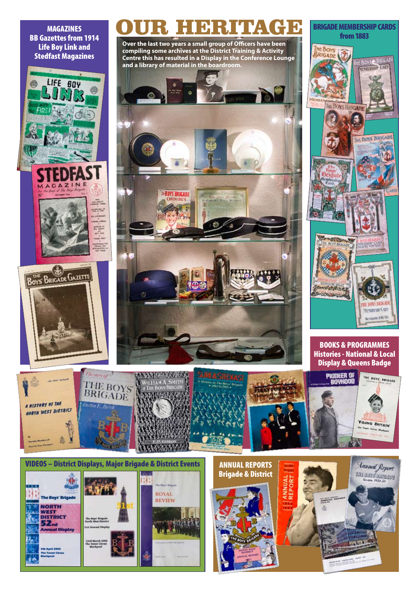